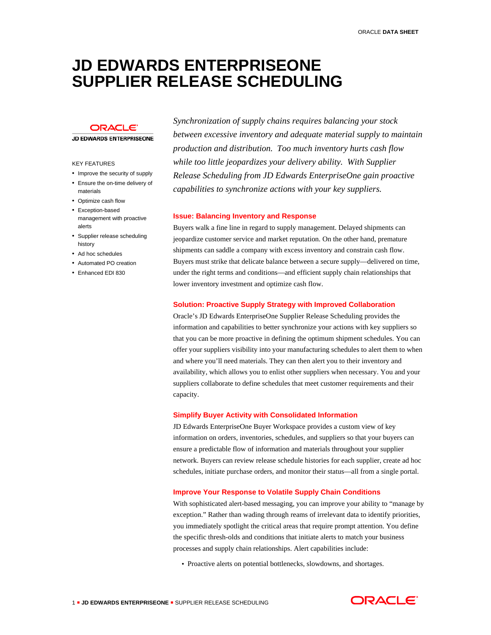# **JD EDWARDS ENTERPRISEONE SUPPLIER RELEASE SCHEDULING**

## **ORACLE**

#### **JD EDWARDS ENTERPRISEONE**

### KEY FEATURES

- Improve the security of supply
- Ensure the on-time delivery of materials
- Optimize cash flow
- Exception-based management with proactive alerts
- Supplier release scheduling history
- Ad hoc schedules
- Automated PO creation
- Enhanced EDI 830

*Synchronization of supply chains requires balancing your stock between excessive inventory and adequate material supply to maintain production and distribution. Too much inventory hurts cash flow while too little jeopardizes your delivery ability. With Supplier Release Scheduling from JD Edwards EnterpriseOne gain proactive capabilities to synchronize actions with your key suppliers.* 

#### **Issue: Balancing Inventory and Response**

Buyers walk a fine line in regard to supply management. Delayed shipments can jeopardize customer service and market reputation. On the other hand, premature shipments can saddle a company with excess inventory and constrain cash flow. Buyers must strike that delicate balance between a secure supply—delivered on time, under the right terms and conditions—and efficient supply chain relationships that lower inventory investment and optimize cash flow.

#### **Solution: Proactive Supply Strategy with Improved Collaboration**

Oracle's JD Edwards EnterpriseOne Supplier Release Scheduling provides the information and capabilities to better synchronize your actions with key suppliers so that you can be more proactive in defining the optimum shipment schedules. You can offer your suppliers visibility into your manufacturing schedules to alert them to when and where you'll need materials. They can then alert you to their inventory and availability, which allows you to enlist other suppliers when necessary. You and your suppliers collaborate to define schedules that meet customer requirements and their capacity.

#### **Simplify Buyer Activity with Consolidated Information**

JD Edwards EnterpriseOne Buyer Workspace provides a custom view of key information on orders, inventories, schedules, and suppliers so that your buyers can ensure a predictable flow of information and materials throughout your supplier network. Buyers can review release schedule histories for each supplier, create ad hoc schedules, initiate purchase orders, and monitor their status—all from a single portal.

#### **Improve Your Response to Volatile Supply Chain Conditions**

With sophisticated alert-based messaging, you can improve your ability to "manage by exception." Rather than wading through reams of irrelevant data to identify priorities, you immediately spotlight the critical areas that require prompt attention. You define the specific thresh-olds and conditions that initiate alerts to match your business processes and supply chain relationships. Alert capabilities include:

• Proactive alerts on potential bottlenecks, slowdowns, and shortages.